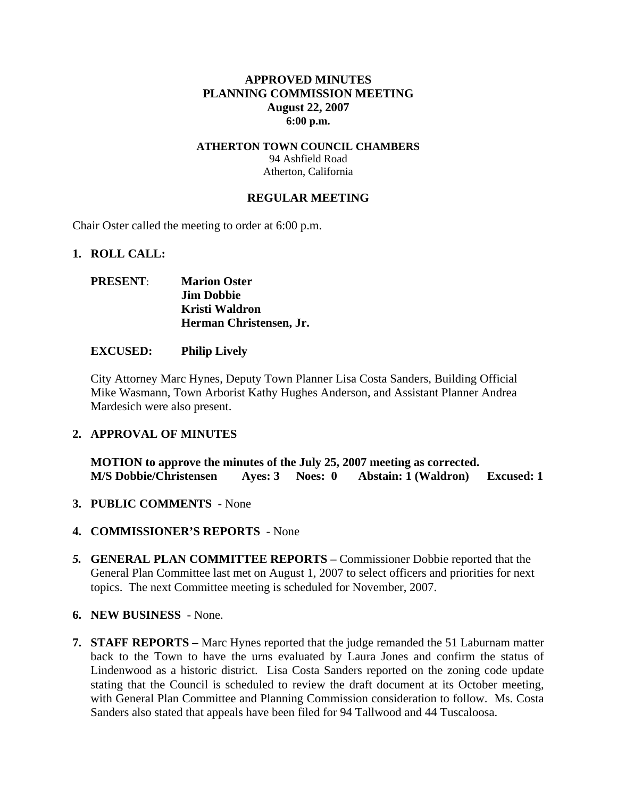### **APPROVED MINUTES PLANNING COMMISSION MEETING August 22, 2007 6:00 p.m.**

### **ATHERTON TOWN COUNCIL CHAMBERS**  94 Ashfield Road Atherton, California

#### **REGULAR MEETING**

Chair Oster called the meeting to order at 6:00 p.m.

#### **1. ROLL CALL:**

### **PRESENT**: **Marion Oster Jim Dobbie Kristi Waldron Herman Christensen, Jr.**

#### **EXCUSED: Philip Lively**

City Attorney Marc Hynes, Deputy Town Planner Lisa Costa Sanders, Building Official Mike Wasmann, Town Arborist Kathy Hughes Anderson, and Assistant Planner Andrea Mardesich were also present.

### **2. APPROVAL OF MINUTES**

**MOTION to approve the minutes of the July 25, 2007 meeting as corrected. M/S Dobbie/Christensen Ayes: 3 Noes: 0 Abstain: 1 (Waldron) Excused: 1** 

- **3. PUBLIC COMMENTS** None
- **4. COMMISSIONER'S REPORTS**  None
- *5.* **GENERAL PLAN COMMITTEE REPORTS –** Commissioner Dobbie reported that the General Plan Committee last met on August 1, 2007 to select officers and priorities for next topics. The next Committee meeting is scheduled for November, 2007.
- **6. NEW BUSINESS**  None.
- **7. STAFF REPORTS** Marc Hynes reported that the judge remanded the 51 Laburnam matter back to the Town to have the urns evaluated by Laura Jones and confirm the status of Lindenwood as a historic district. Lisa Costa Sanders reported on the zoning code update stating that the Council is scheduled to review the draft document at its October meeting, with General Plan Committee and Planning Commission consideration to follow. Ms. Costa Sanders also stated that appeals have been filed for 94 Tallwood and 44 Tuscaloosa.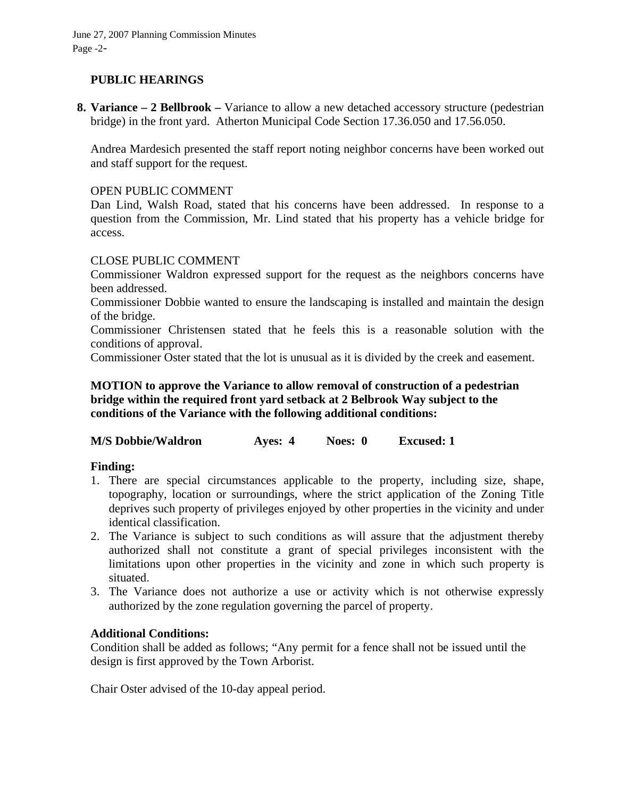# **PUBLIC HEARINGS**

**8. Variance – 2 Bellbrook –** Variance to allow a new detached accessory structure (pedestrian bridge) in the front yard. Atherton Municipal Code Section 17.36.050 and 17.56.050.

Andrea Mardesich presented the staff report noting neighbor concerns have been worked out and staff support for the request.

### OPEN PUBLIC COMMENT

Dan Lind, Walsh Road, stated that his concerns have been addressed. In response to a question from the Commission, Mr. Lind stated that his property has a vehicle bridge for access.

# CLOSE PUBLIC COMMENT

Commissioner Waldron expressed support for the request as the neighbors concerns have been addressed.

Commissioner Dobbie wanted to ensure the landscaping is installed and maintain the design of the bridge.

Commissioner Christensen stated that he feels this is a reasonable solution with the conditions of approval.

Commissioner Oster stated that the lot is unusual as it is divided by the creek and easement.

# **MOTION to approve the Variance to allow removal of construction of a pedestrian bridge within the required front yard setback at 2 Belbrook Way subject to the conditions of the Variance with the following additional conditions:**

**M/S Dobbie/Waldron Ayes: 4 Noes: 0 Excused: 1** 

# **Finding:**

- 1. There are special circumstances applicable to the property, including size, shape, topography, location or surroundings, where the strict application of the Zoning Title deprives such property of privileges enjoyed by other properties in the vicinity and under identical classification.
- 2. The Variance is subject to such conditions as will assure that the adjustment thereby authorized shall not constitute a grant of special privileges inconsistent with the limitations upon other properties in the vicinity and zone in which such property is situated.
- 3. The Variance does not authorize a use or activity which is not otherwise expressly authorized by the zone regulation governing the parcel of property.

# **Additional Conditions:**

Condition shall be added as follows; "Any permit for a fence shall not be issued until the design is first approved by the Town Arborist.

Chair Oster advised of the 10-day appeal period.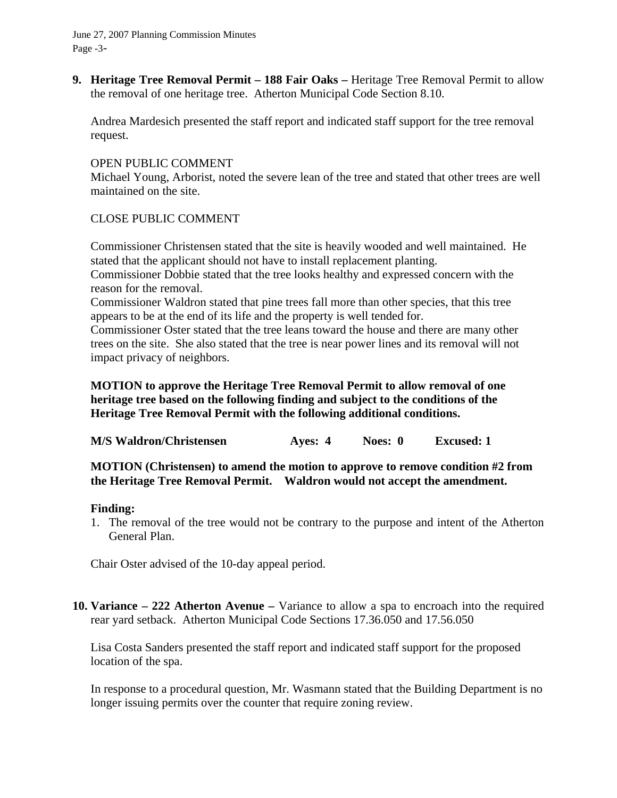June 27, 2007 Planning Commission Minutes Page -3-

**9. Heritage Tree Removal Permit – 188 Fair Oaks –** Heritage Tree Removal Permit to allow the removal of one heritage tree. Atherton Municipal Code Section 8.10.

Andrea Mardesich presented the staff report and indicated staff support for the tree removal request.

### OPEN PUBLIC COMMENT

Michael Young, Arborist, noted the severe lean of the tree and stated that other trees are well maintained on the site.

### CLOSE PUBLIC COMMENT

Commissioner Christensen stated that the site is heavily wooded and well maintained. He stated that the applicant should not have to install replacement planting.

Commissioner Dobbie stated that the tree looks healthy and expressed concern with the reason for the removal.

Commissioner Waldron stated that pine trees fall more than other species, that this tree appears to be at the end of its life and the property is well tended for.

Commissioner Oster stated that the tree leans toward the house and there are many other trees on the site. She also stated that the tree is near power lines and its removal will not impact privacy of neighbors.

# **MOTION to approve the Heritage Tree Removal Permit to allow removal of one heritage tree based on the following finding and subject to the conditions of the Heritage Tree Removal Permit with the following additional conditions.**

**M/S Waldron/Christensen Ayes: 4 Noes: 0 Excused: 1** 

### **MOTION (Christensen) to amend the motion to approve to remove condition #2 from the Heritage Tree Removal Permit. Waldron would not accept the amendment.**

### **Finding:**

1. The removal of the tree would not be contrary to the purpose and intent of the Atherton General Plan.

Chair Oster advised of the 10-day appeal period.

**10. Variance – 222 Atherton Avenue –** Variance to allow a spa to encroach into the required rear yard setback. Atherton Municipal Code Sections 17.36.050 and 17.56.050

Lisa Costa Sanders presented the staff report and indicated staff support for the proposed location of the spa.

In response to a procedural question, Mr. Wasmann stated that the Building Department is no longer issuing permits over the counter that require zoning review.